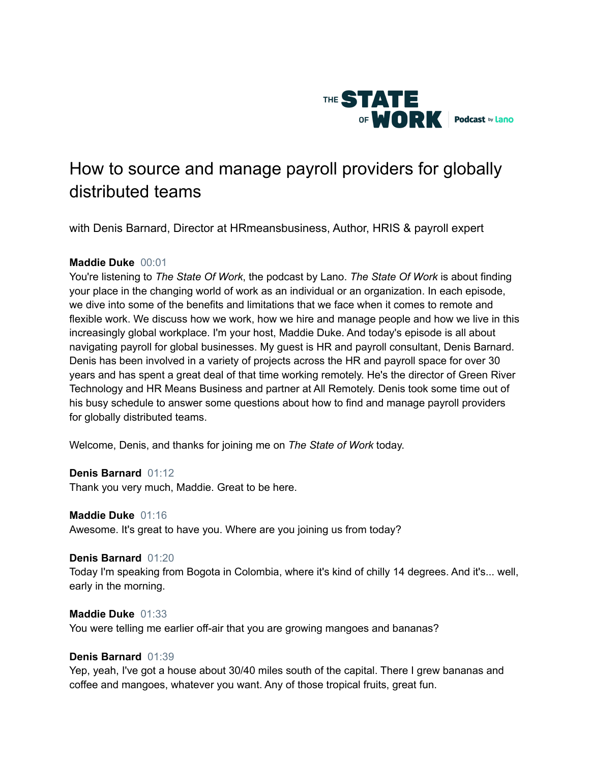

# How to source and manage payroll providers for globally distributed teams

with Denis Barnard, Director at HRmeansbusiness, Author, HRIS & payroll expert

# **Maddie Duke** 00:01

You're listening to *The State Of Work*, the podcast by Lano. *The State Of Work* is about finding your place in the changing world of work as an individual or an organization. In each episode, we dive into some of the benefits and limitations that we face when it comes to remote and flexible work. We discuss how we work, how we hire and manage people and how we live in this increasingly global workplace. I'm your host, Maddie Duke. And today's episode is all about navigating payroll for global businesses. My guest is HR and payroll consultant, Denis Barnard. Denis has been involved in a variety of projects across the HR and payroll space for over 30 years and has spent a great deal of that time working remotely. He's the director of Green River Technology and HR Means Business and partner at All Remotely. Denis took some time out of his busy schedule to answer some questions about how to find and manage payroll providers for globally distributed teams.

Welcome, Denis, and thanks for joining me on *The State of Work* today.

# **Denis Barnard** 01:12

Thank you very much, Maddie. Great to be here.

# **Maddie Duke** 01:16

Awesome. It's great to have you. Where are you joining us from today?

### **Denis Barnard** 01:20

Today I'm speaking from Bogota in Colombia, where it's kind of chilly 14 degrees. And it's... well, early in the morning.

# **Maddie Duke** 01:33

You were telling me earlier off-air that you are growing mangoes and bananas?

### **Denis Barnard** 01:39

Yep, yeah, I've got a house about 30/40 miles south of the capital. There I grew bananas and coffee and mangoes, whatever you want. Any of those tropical fruits, great fun.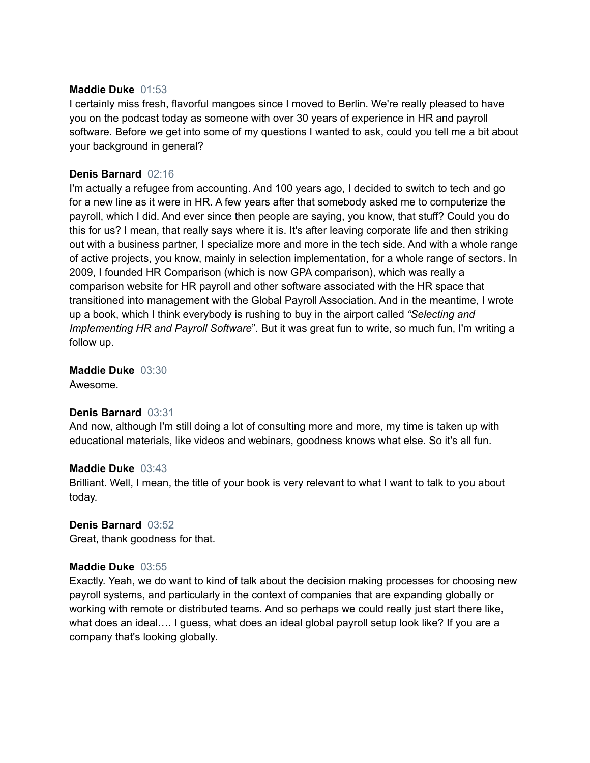# **Maddie Duke** 01:53

I certainly miss fresh, flavorful mangoes since I moved to Berlin. We're really pleased to have you on the podcast today as someone with over 30 years of experience in HR and payroll software. Before we get into some of my questions I wanted to ask, could you tell me a bit about your background in general?

# **Denis Barnard** 02:16

I'm actually a refugee from accounting. And 100 years ago, I decided to switch to tech and go for a new line as it were in HR. A few years after that somebody asked me to computerize the payroll, which I did. And ever since then people are saying, you know, that stuff? Could you do this for us? I mean, that really says where it is. It's after leaving corporate life and then striking out with a business partner, I specialize more and more in the tech side. And with a whole range of active projects, you know, mainly in selection implementation, for a whole range of sectors. In 2009, I founded HR Comparison (which is now GPA comparison), which was really a comparison website for HR payroll and other software associated with the HR space that transitioned into management with the Global Payroll Association. And in the meantime, I wrote up a book, which I think everybody is rushing to buy in the airport called *"Selecting and Implementing HR and Payroll Software*". But it was great fun to write, so much fun, I'm writing a follow up.

**Maddie Duke** 03:30 Awesome.

### **Denis Barnard** 03:31

And now, although I'm still doing a lot of consulting more and more, my time is taken up with educational materials, like videos and webinars, goodness knows what else. So it's all fun.

### **Maddie Duke** 03:43

Brilliant. Well, I mean, the title of your book is very relevant to what I want to talk to you about today.

# **Denis Barnard** 03:52

Great, thank goodness for that.

### **Maddie Duke** 03:55

Exactly. Yeah, we do want to kind of talk about the decision making processes for choosing new payroll systems, and particularly in the context of companies that are expanding globally or working with remote or distributed teams. And so perhaps we could really just start there like, what does an ideal…. I guess, what does an ideal global payroll setup look like? If you are a company that's looking globally.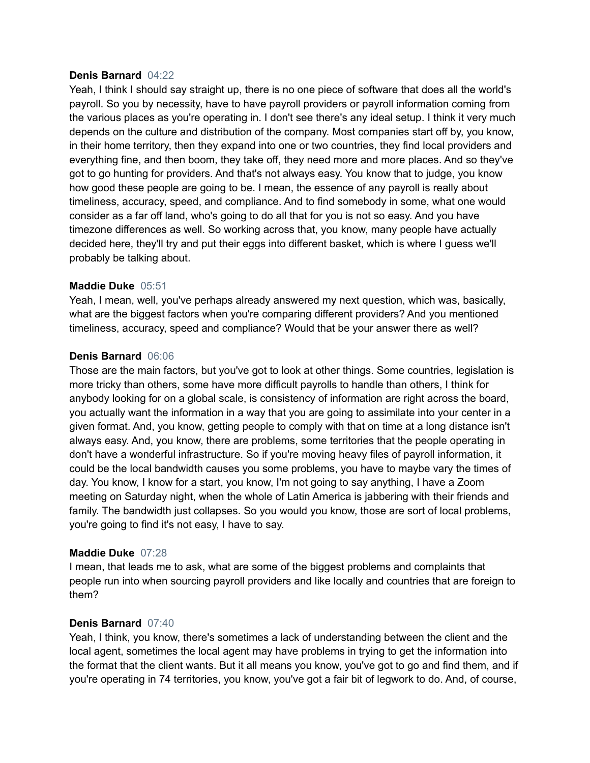### **Denis Barnard** 04:22

Yeah, I think I should say straight up, there is no one piece of software that does all the world's payroll. So you by necessity, have to have payroll providers or payroll information coming from the various places as you're operating in. I don't see there's any ideal setup. I think it very much depends on the culture and distribution of the company. Most companies start off by, you know, in their home territory, then they expand into one or two countries, they find local providers and everything fine, and then boom, they take off, they need more and more places. And so they've got to go hunting for providers. And that's not always easy. You know that to judge, you know how good these people are going to be. I mean, the essence of any payroll is really about timeliness, accuracy, speed, and compliance. And to find somebody in some, what one would consider as a far off land, who's going to do all that for you is not so easy. And you have timezone differences as well. So working across that, you know, many people have actually decided here, they'll try and put their eggs into different basket, which is where I guess we'll probably be talking about.

# **Maddie Duke** 05:51

Yeah, I mean, well, you've perhaps already answered my next question, which was, basically, what are the biggest factors when you're comparing different providers? And you mentioned timeliness, accuracy, speed and compliance? Would that be your answer there as well?

# **Denis Barnard** 06:06

Those are the main factors, but you've got to look at other things. Some countries, legislation is more tricky than others, some have more difficult payrolls to handle than others, I think for anybody looking for on a global scale, is consistency of information are right across the board, you actually want the information in a way that you are going to assimilate into your center in a given format. And, you know, getting people to comply with that on time at a long distance isn't always easy. And, you know, there are problems, some territories that the people operating in don't have a wonderful infrastructure. So if you're moving heavy files of payroll information, it could be the local bandwidth causes you some problems, you have to maybe vary the times of day. You know, I know for a start, you know, I'm not going to say anything, I have a Zoom meeting on Saturday night, when the whole of Latin America is jabbering with their friends and family. The bandwidth just collapses. So you would you know, those are sort of local problems, you're going to find it's not easy, I have to say.

### **Maddie Duke** 07:28

I mean, that leads me to ask, what are some of the biggest problems and complaints that people run into when sourcing payroll providers and like locally and countries that are foreign to them?

### **Denis Barnard** 07:40

Yeah, I think, you know, there's sometimes a lack of understanding between the client and the local agent, sometimes the local agent may have problems in trying to get the information into the format that the client wants. But it all means you know, you've got to go and find them, and if you're operating in 74 territories, you know, you've got a fair bit of legwork to do. And, of course,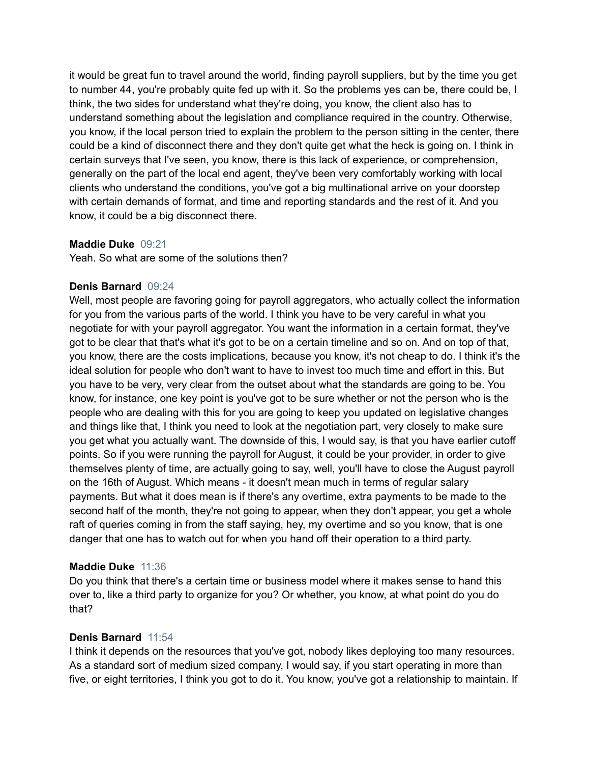it would be great fun to travel around the world, finding payroll suppliers, but by the time you get to number 44, you're probably quite fed up with it. So the problems yes can be, there could be, I think, the two sides for understand what they're doing, you know, the client also has to understand something about the legislation and compliance required in the country. Otherwise, you know, if the local person tried to explain the problem to the person sitting in the center, there could be a kind of disconnect there and they don't quite get what the heck is going on. I think in certain surveys that I've seen, you know, there is this lack of experience, or comprehension, generally on the part of the local end agent, they've been very comfortably working with local clients who understand the conditions, you've got a big multinational arrive on your doorstep with certain demands of format, and time and reporting standards and the rest of it. And you know, it could be a big disconnect there.

# **Maddie Duke** 09:21

Yeah. So what are some of the solutions then?

# **Denis Barnard** 09:24

Well, most people are favoring going for payroll aggregators, who actually collect the information for you from the various parts of the world. I think you have to be very careful in what you negotiate for with your payroll aggregator. You want the information in a certain format, they've got to be clear that that's what it's got to be on a certain timeline and so on. And on top of that, you know, there are the costs implications, because you know, it's not cheap to do. I think it's the ideal solution for people who don't want to have to invest too much time and effort in this. But you have to be very, very clear from the outset about what the standards are going to be. You know, for instance, one key point is you've got to be sure whether or not the person who is the people who are dealing with this for you are going to keep you updated on legislative changes and things like that, I think you need to look at the negotiation part, very closely to make sure you get what you actually want. The downside of this, I would say, is that you have earlier cutoff points. So if you were running the payroll for August, it could be your provider, in order to give themselves plenty of time, are actually going to say, well, you'll have to close the August payroll on the 16th of August. Which means - it doesn't mean much in terms of regular salary payments. But what it does mean is if there's any overtime, extra payments to be made to the second half of the month, they're not going to appear, when they don't appear, you get a whole raft of queries coming in from the staff saying, hey, my overtime and so you know, that is one danger that one has to watch out for when you hand off their operation to a third party.

# **Maddie Duke** 11:36

Do you think that there's a certain time or business model where it makes sense to hand this over to, like a third party to organize for you? Or whether, you know, at what point do you do that?

### **Denis Barnard** 11:54

I think it depends on the resources that you've got, nobody likes deploying too many resources. As a standard sort of medium sized company, I would say, if you start operating in more than five, or eight territories, I think you got to do it. You know, you've got a relationship to maintain. If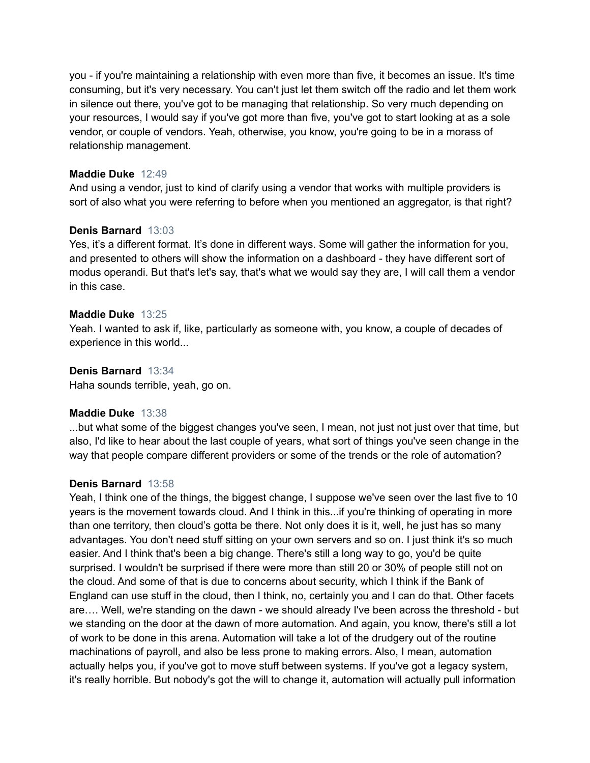you - if you're maintaining a relationship with even more than five, it becomes an issue. It's time consuming, but it's very necessary. You can't just let them switch off the radio and let them work in silence out there, you've got to be managing that relationship. So very much depending on your resources, I would say if you've got more than five, you've got to start looking at as a sole vendor, or couple of vendors. Yeah, otherwise, you know, you're going to be in a morass of relationship management.

# **Maddie Duke** 12:49

And using a vendor, just to kind of clarify using a vendor that works with multiple providers is sort of also what you were referring to before when you mentioned an aggregator, is that right?

# **Denis Barnard** 13:03

Yes, it's a different format. It's done in different ways. Some will gather the information for you, and presented to others will show the information on a dashboard - they have different sort of modus operandi. But that's let's say, that's what we would say they are, I will call them a vendor in this case.

# **Maddie Duke** 13:25

Yeah. I wanted to ask if, like, particularly as someone with, you know, a couple of decades of experience in this world...

# **Denis Barnard** 13:34

Haha sounds terrible, yeah, go on.

### **Maddie Duke** 13:38

...but what some of the biggest changes you've seen, I mean, not just not just over that time, but also, I'd like to hear about the last couple of years, what sort of things you've seen change in the way that people compare different providers or some of the trends or the role of automation?

### **Denis Barnard** 13:58

Yeah, I think one of the things, the biggest change, I suppose we've seen over the last five to 10 years is the movement towards cloud. And I think in this...if you're thinking of operating in more than one territory, then cloud's gotta be there. Not only does it is it, well, he just has so many advantages. You don't need stuff sitting on your own servers and so on. I just think it's so much easier. And I think that's been a big change. There's still a long way to go, you'd be quite surprised. I wouldn't be surprised if there were more than still 20 or 30% of people still not on the cloud. And some of that is due to concerns about security, which I think if the Bank of England can use stuff in the cloud, then I think, no, certainly you and I can do that. Other facets are…. Well, we're standing on the dawn - we should already I've been across the threshold - but we standing on the door at the dawn of more automation. And again, you know, there's still a lot of work to be done in this arena. Automation will take a lot of the drudgery out of the routine machinations of payroll, and also be less prone to making errors. Also, I mean, automation actually helps you, if you've got to move stuff between systems. If you've got a legacy system, it's really horrible. But nobody's got the will to change it, automation will actually pull information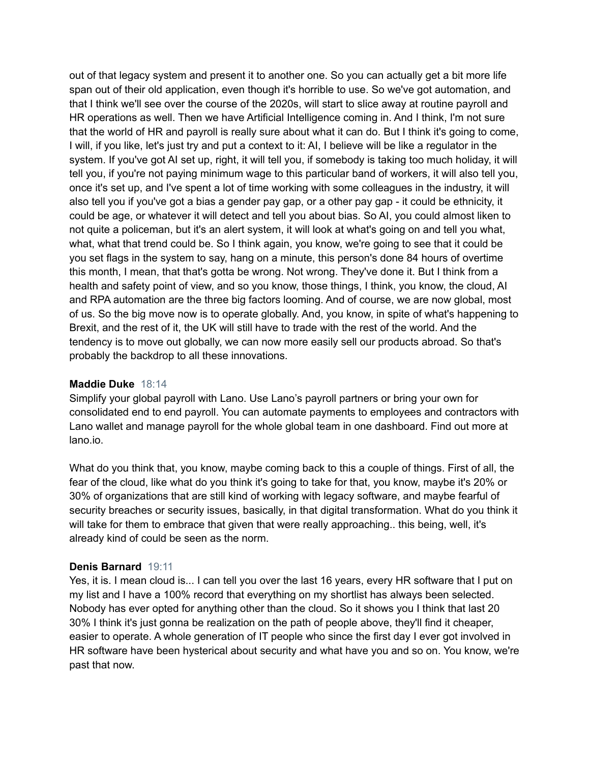out of that legacy system and present it to another one. So you can actually get a bit more life span out of their old application, even though it's horrible to use. So we've got automation, and that I think we'll see over the course of the 2020s, will start to slice away at routine payroll and HR operations as well. Then we have Artificial Intelligence coming in. And I think, I'm not sure that the world of HR and payroll is really sure about what it can do. But I think it's going to come, I will, if you like, let's just try and put a context to it: AI, I believe will be like a regulator in the system. If you've got AI set up, right, it will tell you, if somebody is taking too much holiday, it will tell you, if you're not paying minimum wage to this particular band of workers, it will also tell you, once it's set up, and I've spent a lot of time working with some colleagues in the industry, it will also tell you if you've got a bias a gender pay gap, or a other pay gap - it could be ethnicity, it could be age, or whatever it will detect and tell you about bias. So AI, you could almost liken to not quite a policeman, but it's an alert system, it will look at what's going on and tell you what, what, what that trend could be. So I think again, you know, we're going to see that it could be you set flags in the system to say, hang on a minute, this person's done 84 hours of overtime this month, I mean, that that's gotta be wrong. Not wrong. They've done it. But I think from a health and safety point of view, and so you know, those things, I think, you know, the cloud, AI and RPA automation are the three big factors looming. And of course, we are now global, most of us. So the big move now is to operate globally. And, you know, in spite of what's happening to Brexit, and the rest of it, the UK will still have to trade with the rest of the world. And the tendency is to move out globally, we can now more easily sell our products abroad. So that's probably the backdrop to all these innovations.

### **Maddie Duke** 18:14

Simplify your global payroll with Lano. Use Lano's payroll partners or bring your own for consolidated end to end payroll. You can automate payments to employees and contractors with Lano wallet and manage payroll for the whole global team in one dashboard. Find out more at lano.io.

What do you think that, you know, maybe coming back to this a couple of things. First of all, the fear of the cloud, like what do you think it's going to take for that, you know, maybe it's 20% or 30% of organizations that are still kind of working with legacy software, and maybe fearful of security breaches or security issues, basically, in that digital transformation. What do you think it will take for them to embrace that given that were really approaching.. this being, well, it's already kind of could be seen as the norm.

# **Denis Barnard** 19:11

Yes, it is. I mean cloud is... I can tell you over the last 16 years, every HR software that I put on my list and I have a 100% record that everything on my shortlist has always been selected. Nobody has ever opted for anything other than the cloud. So it shows you I think that last 20 30% I think it's just gonna be realization on the path of people above, they'll find it cheaper, easier to operate. A whole generation of IT people who since the first day I ever got involved in HR software have been hysterical about security and what have you and so on. You know, we're past that now.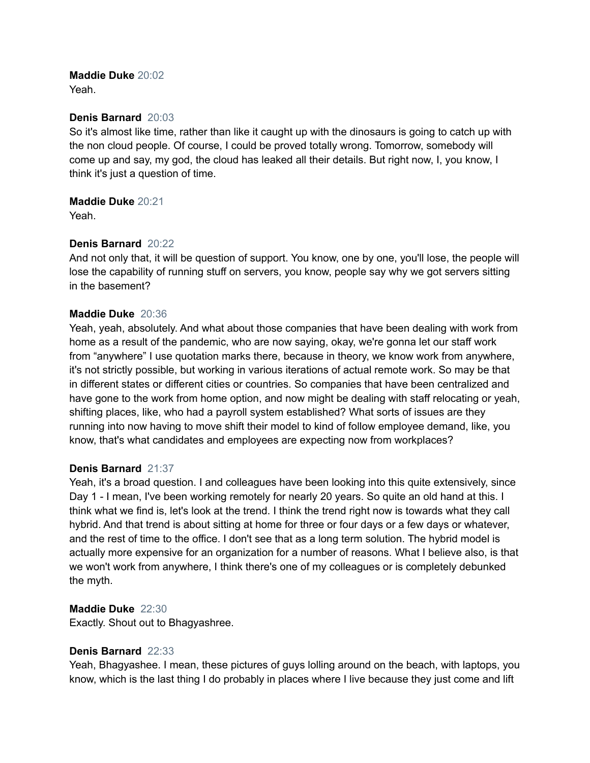# **Maddie Duke** 20:02

Yeah.

# **Denis Barnard** 20:03

So it's almost like time, rather than like it caught up with the dinosaurs is going to catch up with the non cloud people. Of course, I could be proved totally wrong. Tomorrow, somebody will come up and say, my god, the cloud has leaked all their details. But right now, I, you know, I think it's just a question of time.

# **Maddie Duke** 20:21

Yeah.

# **Denis Barnard** 20:22

And not only that, it will be question of support. You know, one by one, you'll lose, the people will lose the capability of running stuff on servers, you know, people say why we got servers sitting in the basement?

# **Maddie Duke** 20:36

Yeah, yeah, absolutely. And what about those companies that have been dealing with work from home as a result of the pandemic, who are now saying, okay, we're gonna let our staff work from "anywhere" I use quotation marks there, because in theory, we know work from anywhere, it's not strictly possible, but working in various iterations of actual remote work. So may be that in different states or different cities or countries. So companies that have been centralized and have gone to the work from home option, and now might be dealing with staff relocating or yeah, shifting places, like, who had a payroll system established? What sorts of issues are they running into now having to move shift their model to kind of follow employee demand, like, you know, that's what candidates and employees are expecting now from workplaces?

# **Denis Barnard** 21:37

Yeah, it's a broad question. I and colleagues have been looking into this quite extensively, since Day 1 - I mean, I've been working remotely for nearly 20 years. So quite an old hand at this. I think what we find is, let's look at the trend. I think the trend right now is towards what they call hybrid. And that trend is about sitting at home for three or four days or a few days or whatever, and the rest of time to the office. I don't see that as a long term solution. The hybrid model is actually more expensive for an organization for a number of reasons. What I believe also, is that we won't work from anywhere, I think there's one of my colleagues or is completely debunked the myth.

# **Maddie Duke** 22:30

Exactly. Shout out to Bhagyashree.

# **Denis Barnard** 22:33

Yeah, Bhagyashee. I mean, these pictures of guys lolling around on the beach, with laptops, you know, which is the last thing I do probably in places where I live because they just come and lift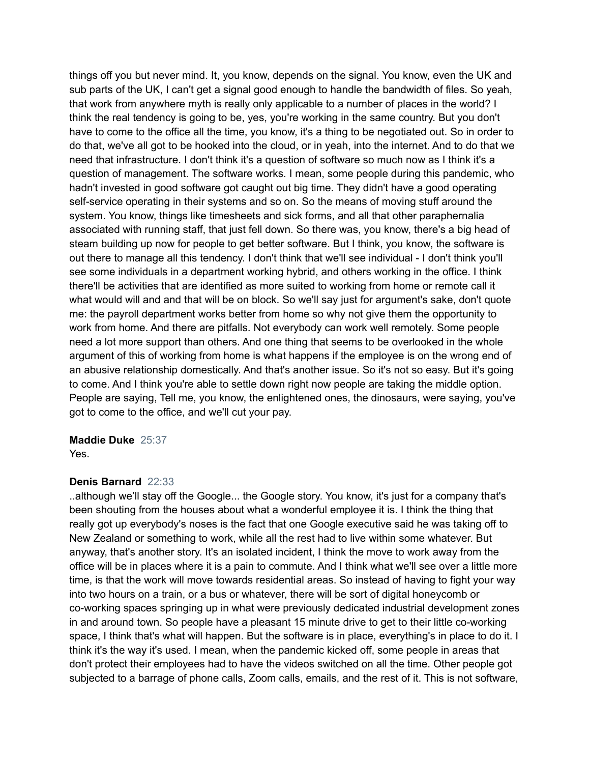things off you but never mind. It, you know, depends on the signal. You know, even the UK and sub parts of the UK, I can't get a signal good enough to handle the bandwidth of files. So yeah, that work from anywhere myth is really only applicable to a number of places in the world? I think the real tendency is going to be, yes, you're working in the same country. But you don't have to come to the office all the time, you know, it's a thing to be negotiated out. So in order to do that, we've all got to be hooked into the cloud, or in yeah, into the internet. And to do that we need that infrastructure. I don't think it's a question of software so much now as I think it's a question of management. The software works. I mean, some people during this pandemic, who hadn't invested in good software got caught out big time. They didn't have a good operating self-service operating in their systems and so on. So the means of moving stuff around the system. You know, things like timesheets and sick forms, and all that other paraphernalia associated with running staff, that just fell down. So there was, you know, there's a big head of steam building up now for people to get better software. But I think, you know, the software is out there to manage all this tendency. I don't think that we'll see individual - I don't think you'll see some individuals in a department working hybrid, and others working in the office. I think there'll be activities that are identified as more suited to working from home or remote call it what would will and and that will be on block. So we'll say just for argument's sake, don't quote me: the payroll department works better from home so why not give them the opportunity to work from home. And there are pitfalls. Not everybody can work well remotely. Some people need a lot more support than others. And one thing that seems to be overlooked in the whole argument of this of working from home is what happens if the employee is on the wrong end of an abusive relationship domestically. And that's another issue. So it's not so easy. But it's going to come. And I think you're able to settle down right now people are taking the middle option. People are saying, Tell me, you know, the enlightened ones, the dinosaurs, were saying, you've got to come to the office, and we'll cut your pay.

### **Maddie Duke** 25:37

Yes.

### **Denis Barnard** 22:33

..although we'll stay off the Google... the Google story. You know, it's just for a company that's been shouting from the houses about what a wonderful employee it is. I think the thing that really got up everybody's noses is the fact that one Google executive said he was taking off to New Zealand or something to work, while all the rest had to live within some whatever. But anyway, that's another story. It's an isolated incident, I think the move to work away from the office will be in places where it is a pain to commute. And I think what we'll see over a little more time, is that the work will move towards residential areas. So instead of having to fight your way into two hours on a train, or a bus or whatever, there will be sort of digital honeycomb or co-working spaces springing up in what were previously dedicated industrial development zones in and around town. So people have a pleasant 15 minute drive to get to their little co-working space, I think that's what will happen. But the software is in place, everything's in place to do it. I think it's the way it's used. I mean, when the pandemic kicked off, some people in areas that don't protect their employees had to have the videos switched on all the time. Other people got subjected to a barrage of phone calls, Zoom calls, emails, and the rest of it. This is not software,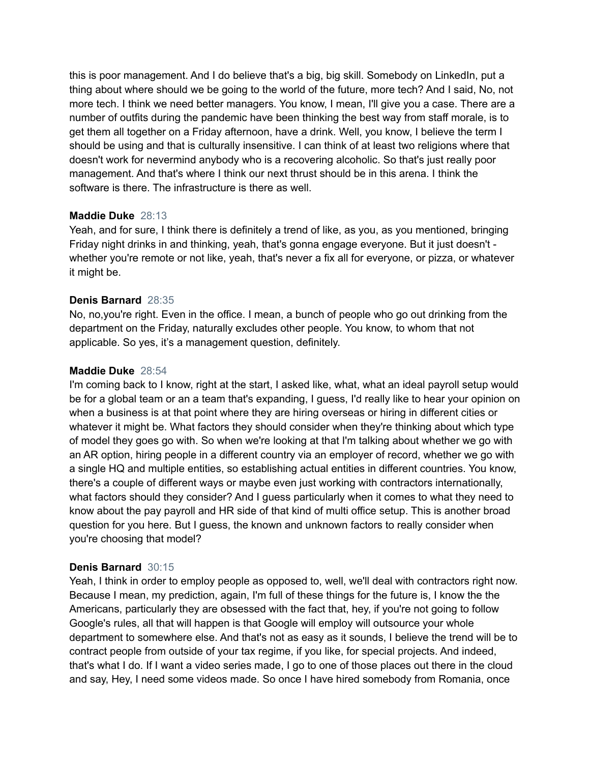this is poor management. And I do believe that's a big, big skill. Somebody on LinkedIn, put a thing about where should we be going to the world of the future, more tech? And I said, No, not more tech. I think we need better managers. You know, I mean, I'll give you a case. There are a number of outfits during the pandemic have been thinking the best way from staff morale, is to get them all together on a Friday afternoon, have a drink. Well, you know, I believe the term I should be using and that is culturally insensitive. I can think of at least two religions where that doesn't work for nevermind anybody who is a recovering alcoholic. So that's just really poor management. And that's where I think our next thrust should be in this arena. I think the software is there. The infrastructure is there as well.

# **Maddie Duke** 28:13

Yeah, and for sure, I think there is definitely a trend of like, as you, as you mentioned, bringing Friday night drinks in and thinking, yeah, that's gonna engage everyone. But it just doesn't whether you're remote or not like, yeah, that's never a fix all for everyone, or pizza, or whatever it might be.

# **Denis Barnard** 28:35

No, no,you're right. Even in the office. I mean, a bunch of people who go out drinking from the department on the Friday, naturally excludes other people. You know, to whom that not applicable. So yes, it's a management question, definitely.

# **Maddie Duke** 28:54

I'm coming back to I know, right at the start, I asked like, what, what an ideal payroll setup would be for a global team or an a team that's expanding, I guess, I'd really like to hear your opinion on when a business is at that point where they are hiring overseas or hiring in different cities or whatever it might be. What factors they should consider when they're thinking about which type of model they goes go with. So when we're looking at that I'm talking about whether we go with an AR option, hiring people in a different country via an employer of record, whether we go with a single HQ and multiple entities, so establishing actual entities in different countries. You know, there's a couple of different ways or maybe even just working with contractors internationally, what factors should they consider? And I guess particularly when it comes to what they need to know about the pay payroll and HR side of that kind of multi office setup. This is another broad question for you here. But I guess, the known and unknown factors to really consider when you're choosing that model?

# **Denis Barnard** 30:15

Yeah, I think in order to employ people as opposed to, well, we'll deal with contractors right now. Because I mean, my prediction, again, I'm full of these things for the future is, I know the the Americans, particularly they are obsessed with the fact that, hey, if you're not going to follow Google's rules, all that will happen is that Google will employ will outsource your whole department to somewhere else. And that's not as easy as it sounds, I believe the trend will be to contract people from outside of your tax regime, if you like, for special projects. And indeed, that's what I do. If I want a video series made, I go to one of those places out there in the cloud and say, Hey, I need some videos made. So once I have hired somebody from Romania, once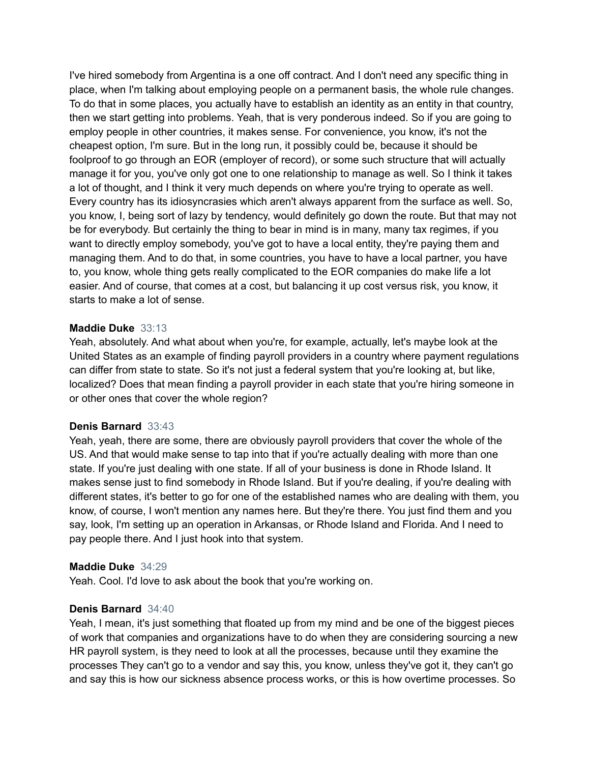I've hired somebody from Argentina is a one off contract. And I don't need any specific thing in place, when I'm talking about employing people on a permanent basis, the whole rule changes. To do that in some places, you actually have to establish an identity as an entity in that country, then we start getting into problems. Yeah, that is very ponderous indeed. So if you are going to employ people in other countries, it makes sense. For convenience, you know, it's not the cheapest option, I'm sure. But in the long run, it possibly could be, because it should be foolproof to go through an EOR (employer of record), or some such structure that will actually manage it for you, you've only got one to one relationship to manage as well. So I think it takes a lot of thought, and I think it very much depends on where you're trying to operate as well. Every country has its idiosyncrasies which aren't always apparent from the surface as well. So, you know, I, being sort of lazy by tendency, would definitely go down the route. But that may not be for everybody. But certainly the thing to bear in mind is in many, many tax regimes, if you want to directly employ somebody, you've got to have a local entity, they're paying them and managing them. And to do that, in some countries, you have to have a local partner, you have to, you know, whole thing gets really complicated to the EOR companies do make life a lot easier. And of course, that comes at a cost, but balancing it up cost versus risk, you know, it starts to make a lot of sense.

# **Maddie Duke** 33:13

Yeah, absolutely. And what about when you're, for example, actually, let's maybe look at the United States as an example of finding payroll providers in a country where payment regulations can differ from state to state. So it's not just a federal system that you're looking at, but like, localized? Does that mean finding a payroll provider in each state that you're hiring someone in or other ones that cover the whole region?

### **Denis Barnard** 33:43

Yeah, yeah, there are some, there are obviously payroll providers that cover the whole of the US. And that would make sense to tap into that if you're actually dealing with more than one state. If you're just dealing with one state. If all of your business is done in Rhode Island. It makes sense just to find somebody in Rhode Island. But if you're dealing, if you're dealing with different states, it's better to go for one of the established names who are dealing with them, you know, of course, I won't mention any names here. But they're there. You just find them and you say, look, I'm setting up an operation in Arkansas, or Rhode Island and Florida. And I need to pay people there. And I just hook into that system.

### **Maddie Duke** 34:29

Yeah. Cool. I'd love to ask about the book that you're working on.

### **Denis Barnard** 34:40

Yeah, I mean, it's just something that floated up from my mind and be one of the biggest pieces of work that companies and organizations have to do when they are considering sourcing a new HR payroll system, is they need to look at all the processes, because until they examine the processes They can't go to a vendor and say this, you know, unless they've got it, they can't go and say this is how our sickness absence process works, or this is how overtime processes. So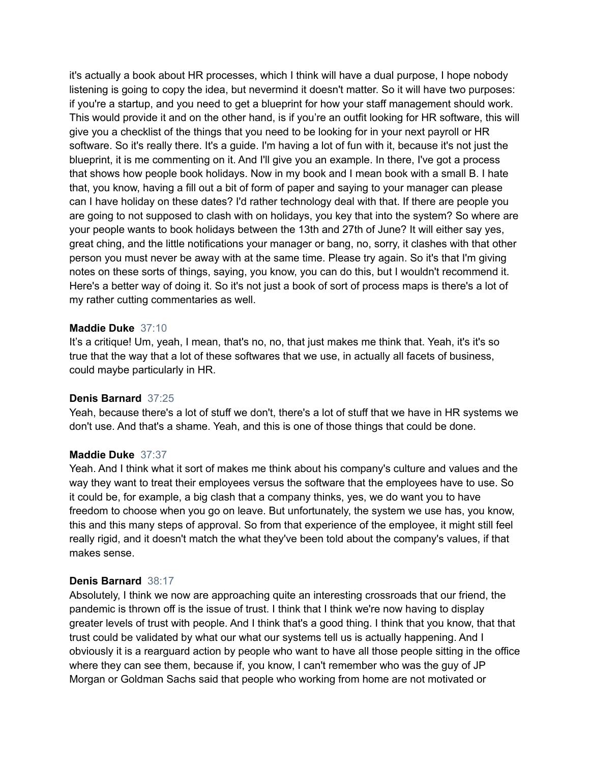it's actually a book about HR processes, which I think will have a dual purpose, I hope nobody listening is going to copy the idea, but nevermind it doesn't matter. So it will have two purposes: if you're a startup, and you need to get a blueprint for how your staff management should work. This would provide it and on the other hand, is if you're an outfit looking for HR software, this will give you a checklist of the things that you need to be looking for in your next payroll or HR software. So it's really there. It's a guide. I'm having a lot of fun with it, because it's not just the blueprint, it is me commenting on it. And I'll give you an example. In there, I've got a process that shows how people book holidays. Now in my book and I mean book with a small B. I hate that, you know, having a fill out a bit of form of paper and saying to your manager can please can I have holiday on these dates? I'd rather technology deal with that. If there are people you are going to not supposed to clash with on holidays, you key that into the system? So where are your people wants to book holidays between the 13th and 27th of June? It will either say yes, great ching, and the little notifications your manager or bang, no, sorry, it clashes with that other person you must never be away with at the same time. Please try again. So it's that I'm giving notes on these sorts of things, saying, you know, you can do this, but I wouldn't recommend it. Here's a better way of doing it. So it's not just a book of sort of process maps is there's a lot of my rather cutting commentaries as well.

# **Maddie Duke** 37:10

It's a critique! Um, yeah, I mean, that's no, no, that just makes me think that. Yeah, it's it's so true that the way that a lot of these softwares that we use, in actually all facets of business, could maybe particularly in HR.

### **Denis Barnard** 37:25

Yeah, because there's a lot of stuff we don't, there's a lot of stuff that we have in HR systems we don't use. And that's a shame. Yeah, and this is one of those things that could be done.

### **Maddie Duke** 37:37

Yeah. And I think what it sort of makes me think about his company's culture and values and the way they want to treat their employees versus the software that the employees have to use. So it could be, for example, a big clash that a company thinks, yes, we do want you to have freedom to choose when you go on leave. But unfortunately, the system we use has, you know, this and this many steps of approval. So from that experience of the employee, it might still feel really rigid, and it doesn't match the what they've been told about the company's values, if that makes sense.

### **Denis Barnard** 38:17

Absolutely, I think we now are approaching quite an interesting crossroads that our friend, the pandemic is thrown off is the issue of trust. I think that I think we're now having to display greater levels of trust with people. And I think that's a good thing. I think that you know, that that trust could be validated by what our what our systems tell us is actually happening. And I obviously it is a rearguard action by people who want to have all those people sitting in the office where they can see them, because if, you know, I can't remember who was the guy of JP Morgan or Goldman Sachs said that people who working from home are not motivated or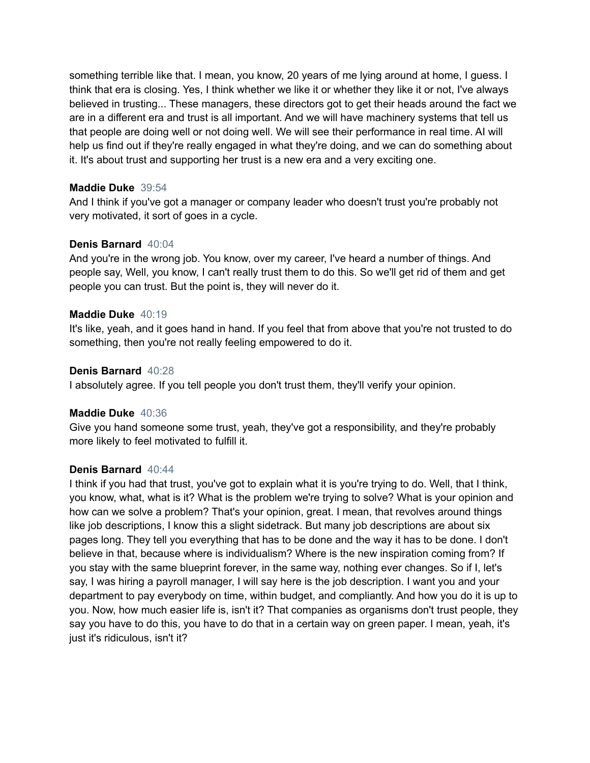something terrible like that. I mean, you know, 20 years of me lying around at home, I guess. I think that era is closing. Yes, I think whether we like it or whether they like it or not, I've always believed in trusting... These managers, these directors got to get their heads around the fact we are in a different era and trust is all important. And we will have machinery systems that tell us that people are doing well or not doing well. We will see their performance in real time. AI will help us find out if they're really engaged in what they're doing, and we can do something about it. It's about trust and supporting her trust is a new era and a very exciting one.

# **Maddie Duke** 39:54

And I think if you've got a manager or company leader who doesn't trust you're probably not very motivated, it sort of goes in a cycle.

# **Denis Barnard** 40:04

And you're in the wrong job. You know, over my career, I've heard a number of things. And people say, Well, you know, I can't really trust them to do this. So we'll get rid of them and get people you can trust. But the point is, they will never do it.

# **Maddie Duke** 40:19

It's like, yeah, and it goes hand in hand. If you feel that from above that you're not trusted to do something, then you're not really feeling empowered to do it.

# **Denis Barnard** 40:28

I absolutely agree. If you tell people you don't trust them, they'll verify your opinion.

# **Maddie Duke** 40:36

Give you hand someone some trust, yeah, they've got a responsibility, and they're probably more likely to feel motivated to fulfill it.

### **Denis Barnard** 40:44

I think if you had that trust, you've got to explain what it is you're trying to do. Well, that I think, you know, what, what is it? What is the problem we're trying to solve? What is your opinion and how can we solve a problem? That's your opinion, great. I mean, that revolves around things like job descriptions, I know this a slight sidetrack. But many job descriptions are about six pages long. They tell you everything that has to be done and the way it has to be done. I don't believe in that, because where is individualism? Where is the new inspiration coming from? If you stay with the same blueprint forever, in the same way, nothing ever changes. So if I, let's say, I was hiring a payroll manager, I will say here is the job description. I want you and your department to pay everybody on time, within budget, and compliantly. And how you do it is up to you. Now, how much easier life is, isn't it? That companies as organisms don't trust people, they say you have to do this, you have to do that in a certain way on green paper. I mean, yeah, it's just it's ridiculous, isn't it?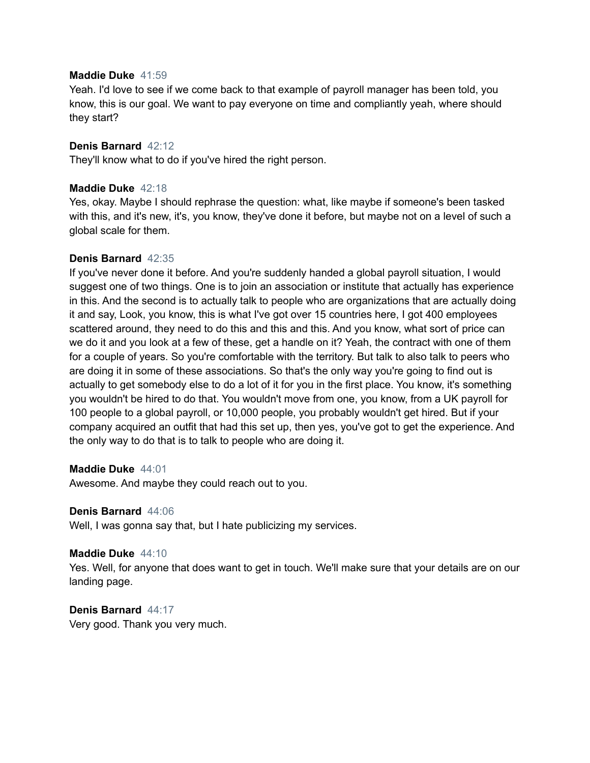### **Maddie Duke** 41:59

Yeah. I'd love to see if we come back to that example of payroll manager has been told, you know, this is our goal. We want to pay everyone on time and compliantly yeah, where should they start?

# **Denis Barnard** 42:12

They'll know what to do if you've hired the right person.

# **Maddie Duke** 42:18

Yes, okay. Maybe I should rephrase the question: what, like maybe if someone's been tasked with this, and it's new, it's, you know, they've done it before, but maybe not on a level of such a global scale for them.

# **Denis Barnard** 42:35

If you've never done it before. And you're suddenly handed a global payroll situation, I would suggest one of two things. One is to join an association or institute that actually has experience in this. And the second is to actually talk to people who are organizations that are actually doing it and say, Look, you know, this is what I've got over 15 countries here, I got 400 employees scattered around, they need to do this and this and this. And you know, what sort of price can we do it and you look at a few of these, get a handle on it? Yeah, the contract with one of them for a couple of years. So you're comfortable with the territory. But talk to also talk to peers who are doing it in some of these associations. So that's the only way you're going to find out is actually to get somebody else to do a lot of it for you in the first place. You know, it's something you wouldn't be hired to do that. You wouldn't move from one, you know, from a UK payroll for 100 people to a global payroll, or 10,000 people, you probably wouldn't get hired. But if your company acquired an outfit that had this set up, then yes, you've got to get the experience. And the only way to do that is to talk to people who are doing it.

### **Maddie Duke** 44:01

Awesome. And maybe they could reach out to you.

### **Denis Barnard** 44:06

Well, I was gonna say that, but I hate publicizing my services.

### **Maddie Duke** 44:10

Yes. Well, for anyone that does want to get in touch. We'll make sure that your details are on our landing page.

### **Denis Barnard** 44:17

Very good. Thank you very much.